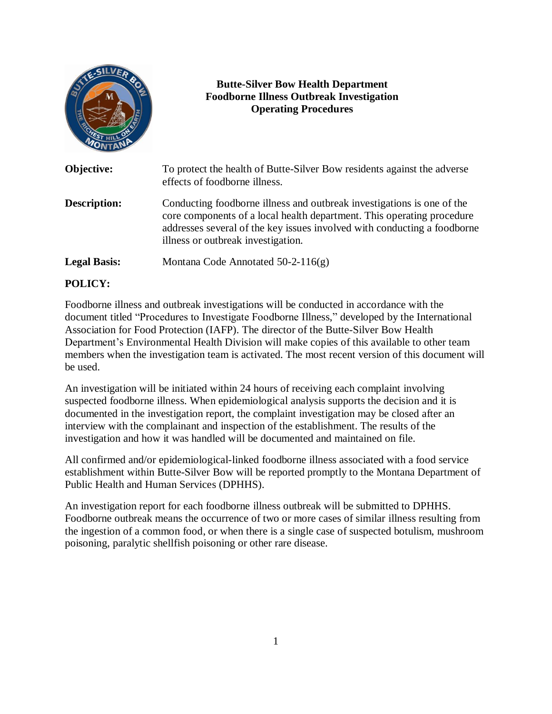|                     | <b>Butte-Silver Bow Health Department</b><br><b>Foodborne Illness Outbreak Investigation</b><br><b>Operating Procedures</b>                                                                                                                                        |
|---------------------|--------------------------------------------------------------------------------------------------------------------------------------------------------------------------------------------------------------------------------------------------------------------|
| Objective:          | To protect the health of Butte-Silver Bow residents against the adverse<br>effects of foodborne illness.                                                                                                                                                           |
| Description:        | Conducting foodborne illness and outbreak investigations is one of the<br>core components of a local health department. This operating procedure<br>addresses several of the key issues involved with conducting a foodborne<br>illness or outbreak investigation. |
| <b>Legal Basis:</b> | Montana Code Annotated 50-2-116(g)                                                                                                                                                                                                                                 |

# **POLICY:**

Foodborne illness and outbreak investigations will be conducted in accordance with the document titled "Procedures to Investigate Foodborne Illness," developed by the International Association for Food Protection (IAFP). The director of the Butte-Silver Bow Health Department's Environmental Health Division will make copies of this available to other team members when the investigation team is activated. The most recent version of this document will be used.

An investigation will be initiated within 24 hours of receiving each complaint involving suspected foodborne illness. When epidemiological analysis supports the decision and it is documented in the investigation report, the complaint investigation may be closed after an interview with the complainant and inspection of the establishment. The results of the investigation and how it was handled will be documented and maintained on file.

All confirmed and/or epidemiological-linked foodborne illness associated with a food service establishment within Butte-Silver Bow will be reported promptly to the Montana Department of Public Health and Human Services (DPHHS).

An investigation report for each foodborne illness outbreak will be submitted to DPHHS. Foodborne outbreak means the occurrence of two or more cases of similar illness resulting from the ingestion of a common food, or when there is a single case of suspected botulism, mushroom poisoning, paralytic shellfish poisoning or other rare disease.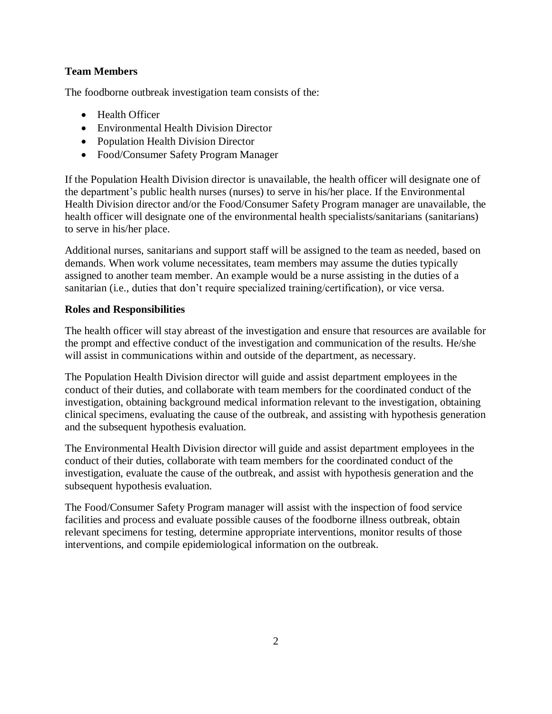## **Team Members**

The foodborne outbreak investigation team consists of the:

- Health Officer
- Environmental Health Division Director
- Population Health Division Director
- Food/Consumer Safety Program Manager

If the Population Health Division director is unavailable, the health officer will designate one of the department's public health nurses (nurses) to serve in his/her place. If the Environmental Health Division director and/or the Food/Consumer Safety Program manager are unavailable, the health officer will designate one of the environmental health specialists/sanitarians (sanitarians) to serve in his/her place.

Additional nurses, sanitarians and support staff will be assigned to the team as needed, based on demands. When work volume necessitates, team members may assume the duties typically assigned to another team member. An example would be a nurse assisting in the duties of a sanitarian (i.e., duties that don't require specialized training/certification), or vice versa.

### **Roles and Responsibilities**

The health officer will stay abreast of the investigation and ensure that resources are available for the prompt and effective conduct of the investigation and communication of the results. He/she will assist in communications within and outside of the department, as necessary.

The Population Health Division director will guide and assist department employees in the conduct of their duties, and collaborate with team members for the coordinated conduct of the investigation, obtaining background medical information relevant to the investigation, obtaining clinical specimens, evaluating the cause of the outbreak, and assisting with hypothesis generation and the subsequent hypothesis evaluation.

The Environmental Health Division director will guide and assist department employees in the conduct of their duties, collaborate with team members for the coordinated conduct of the investigation, evaluate the cause of the outbreak, and assist with hypothesis generation and the subsequent hypothesis evaluation.

The Food/Consumer Safety Program manager will assist with the inspection of food service facilities and process and evaluate possible causes of the foodborne illness outbreak, obtain relevant specimens for testing, determine appropriate interventions, monitor results of those interventions, and compile epidemiological information on the outbreak.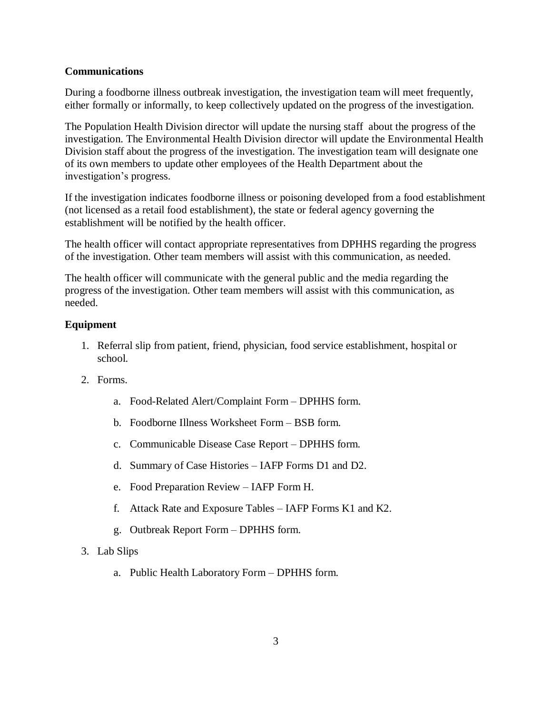## **Communications**

During a foodborne illness outbreak investigation, the investigation team will meet frequently, either formally or informally, to keep collectively updated on the progress of the investigation.

The Population Health Division director will update the nursing staff about the progress of the investigation. The Environmental Health Division director will update the Environmental Health Division staff about the progress of the investigation. The investigation team will designate one of its own members to update other employees of the Health Department about the investigation's progress.

If the investigation indicates foodborne illness or poisoning developed from a food establishment (not licensed as a retail food establishment), the state or federal agency governing the establishment will be notified by the health officer.

The health officer will contact appropriate representatives from DPHHS regarding the progress of the investigation. Other team members will assist with this communication, as needed.

The health officer will communicate with the general public and the media regarding the progress of the investigation. Other team members will assist with this communication, as needed.

# **Equipment**

- 1. Referral slip from patient, friend, physician, food service establishment, hospital or school.
- 2. Forms.
	- a. Food-Related Alert/Complaint Form DPHHS form.
	- b. Foodborne Illness Worksheet Form BSB form.
	- c. Communicable Disease Case Report DPHHS form.
	- d. Summary of Case Histories IAFP Forms D1 and D2.
	- e. Food Preparation Review IAFP Form H.
	- f. Attack Rate and Exposure Tables IAFP Forms K1 and K2.
	- g. Outbreak Report Form DPHHS form.
- 3. Lab Slips
	- a. Public Health Laboratory Form DPHHS form.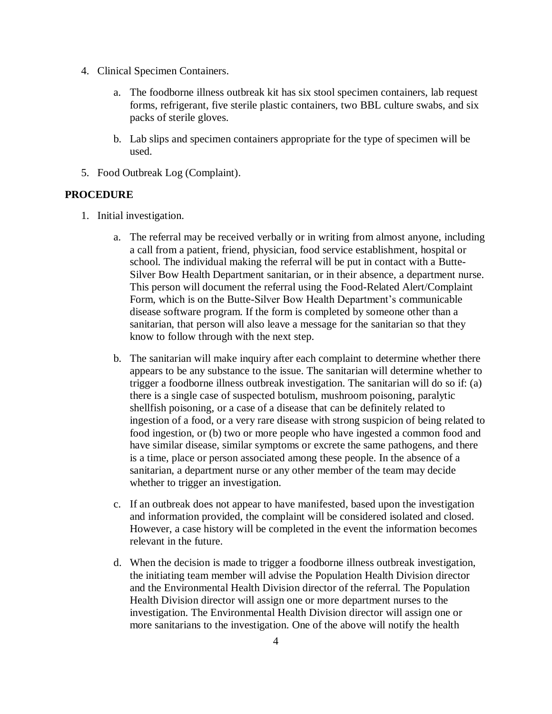- 4. Clinical Specimen Containers.
	- a. The foodborne illness outbreak kit has six stool specimen containers, lab request forms, refrigerant, five sterile plastic containers, two BBL culture swabs, and six packs of sterile gloves.
	- b. Lab slips and specimen containers appropriate for the type of specimen will be used.
- 5. Food Outbreak Log (Complaint).

#### **PROCEDURE**

- 1. Initial investigation.
	- a. The referral may be received verbally or in writing from almost anyone, including a call from a patient, friend, physician, food service establishment, hospital or school. The individual making the referral will be put in contact with a Butte-Silver Bow Health Department sanitarian, or in their absence, a department nurse. This person will document the referral using the Food-Related Alert/Complaint Form, which is on the Butte-Silver Bow Health Department's communicable disease software program. If the form is completed by someone other than a sanitarian, that person will also leave a message for the sanitarian so that they know to follow through with the next step.
	- b. The sanitarian will make inquiry after each complaint to determine whether there appears to be any substance to the issue. The sanitarian will determine whether to trigger a foodborne illness outbreak investigation. The sanitarian will do so if: (a) there is a single case of suspected botulism, mushroom poisoning, paralytic shellfish poisoning, or a case of a disease that can be definitely related to ingestion of a food, or a very rare disease with strong suspicion of being related to food ingestion, or (b) two or more people who have ingested a common food and have similar disease, similar symptoms or excrete the same pathogens, and there is a time, place or person associated among these people. In the absence of a sanitarian, a department nurse or any other member of the team may decide whether to trigger an investigation.
	- c. If an outbreak does not appear to have manifested, based upon the investigation and information provided, the complaint will be considered isolated and closed. However, a case history will be completed in the event the information becomes relevant in the future.
	- d. When the decision is made to trigger a foodborne illness outbreak investigation, the initiating team member will advise the Population Health Division director and the Environmental Health Division director of the referral. The Population Health Division director will assign one or more department nurses to the investigation. The Environmental Health Division director will assign one or more sanitarians to the investigation. One of the above will notify the health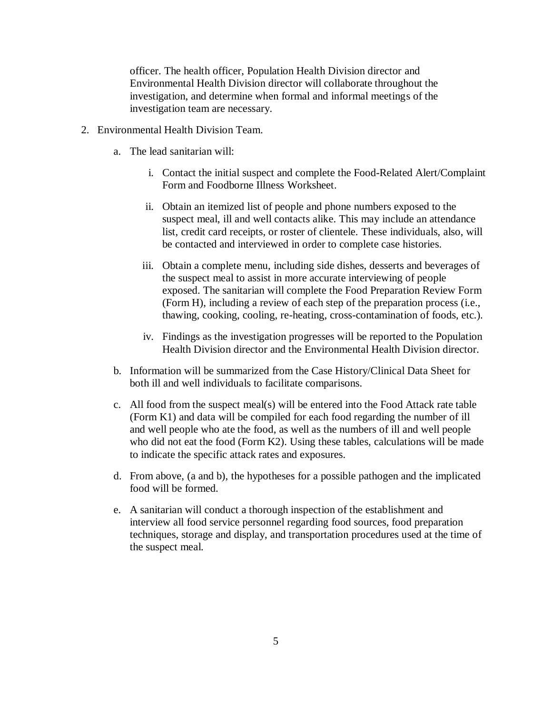officer. The health officer, Population Health Division director and Environmental Health Division director will collaborate throughout the investigation, and determine when formal and informal meetings of the investigation team are necessary.

- 2. Environmental Health Division Team.
	- a. The lead sanitarian will:
		- i. Contact the initial suspect and complete the Food-Related Alert/Complaint Form and Foodborne Illness Worksheet.
		- ii. Obtain an itemized list of people and phone numbers exposed to the suspect meal, ill and well contacts alike. This may include an attendance list, credit card receipts, or roster of clientele. These individuals, also, will be contacted and interviewed in order to complete case histories.
		- iii. Obtain a complete menu, including side dishes, desserts and beverages of the suspect meal to assist in more accurate interviewing of people exposed. The sanitarian will complete the Food Preparation Review Form (Form H), including a review of each step of the preparation process (i.e., thawing, cooking, cooling, re-heating, cross-contamination of foods, etc.).
		- iv. Findings as the investigation progresses will be reported to the Population Health Division director and the Environmental Health Division director.
	- b. Information will be summarized from the Case History/Clinical Data Sheet for both ill and well individuals to facilitate comparisons.
	- c. All food from the suspect meal(s) will be entered into the Food Attack rate table (Form K1) and data will be compiled for each food regarding the number of ill and well people who ate the food, as well as the numbers of ill and well people who did not eat the food (Form K2). Using these tables, calculations will be made to indicate the specific attack rates and exposures.
	- d. From above, (a and b), the hypotheses for a possible pathogen and the implicated food will be formed.
	- e. A sanitarian will conduct a thorough inspection of the establishment and interview all food service personnel regarding food sources, food preparation techniques, storage and display, and transportation procedures used at the time of the suspect meal.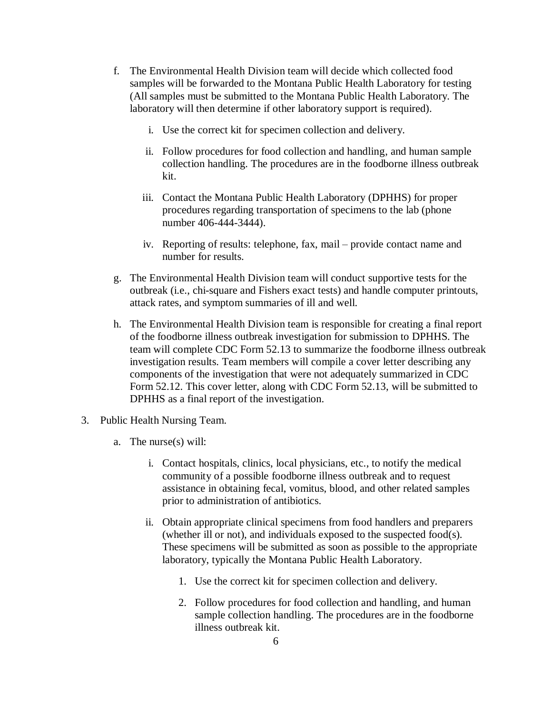- f. The Environmental Health Division team will decide which collected food samples will be forwarded to the Montana Public Health Laboratory for testing (All samples must be submitted to the Montana Public Health Laboratory. The laboratory will then determine if other laboratory support is required).
	- i. Use the correct kit for specimen collection and delivery.
	- ii. Follow procedures for food collection and handling, and human sample collection handling. The procedures are in the foodborne illness outbreak kit.
	- iii. Contact the Montana Public Health Laboratory (DPHHS) for proper procedures regarding transportation of specimens to the lab (phone number 406-444-3444).
	- iv. Reporting of results: telephone, fax, mail provide contact name and number for results.
- g. The Environmental Health Division team will conduct supportive tests for the outbreak (i.e., chi-square and Fishers exact tests) and handle computer printouts, attack rates, and symptom summaries of ill and well.
- h. The Environmental Health Division team is responsible for creating a final report of the foodborne illness outbreak investigation for submission to DPHHS. The team will complete CDC Form 52.13 to summarize the foodborne illness outbreak investigation results. Team members will compile a cover letter describing any components of the investigation that were not adequately summarized in CDC Form 52.12. This cover letter, along with CDC Form 52.13, will be submitted to DPHHS as a final report of the investigation.
- 3. Public Health Nursing Team.
	- a. The nurse(s) will:
		- i. Contact hospitals, clinics, local physicians, etc., to notify the medical community of a possible foodborne illness outbreak and to request assistance in obtaining fecal, vomitus, blood, and other related samples prior to administration of antibiotics.
		- ii. Obtain appropriate clinical specimens from food handlers and preparers (whether ill or not), and individuals exposed to the suspected food(s). These specimens will be submitted as soon as possible to the appropriate laboratory, typically the Montana Public Health Laboratory.
			- 1. Use the correct kit for specimen collection and delivery.
			- 2. Follow procedures for food collection and handling, and human sample collection handling. The procedures are in the foodborne illness outbreak kit.